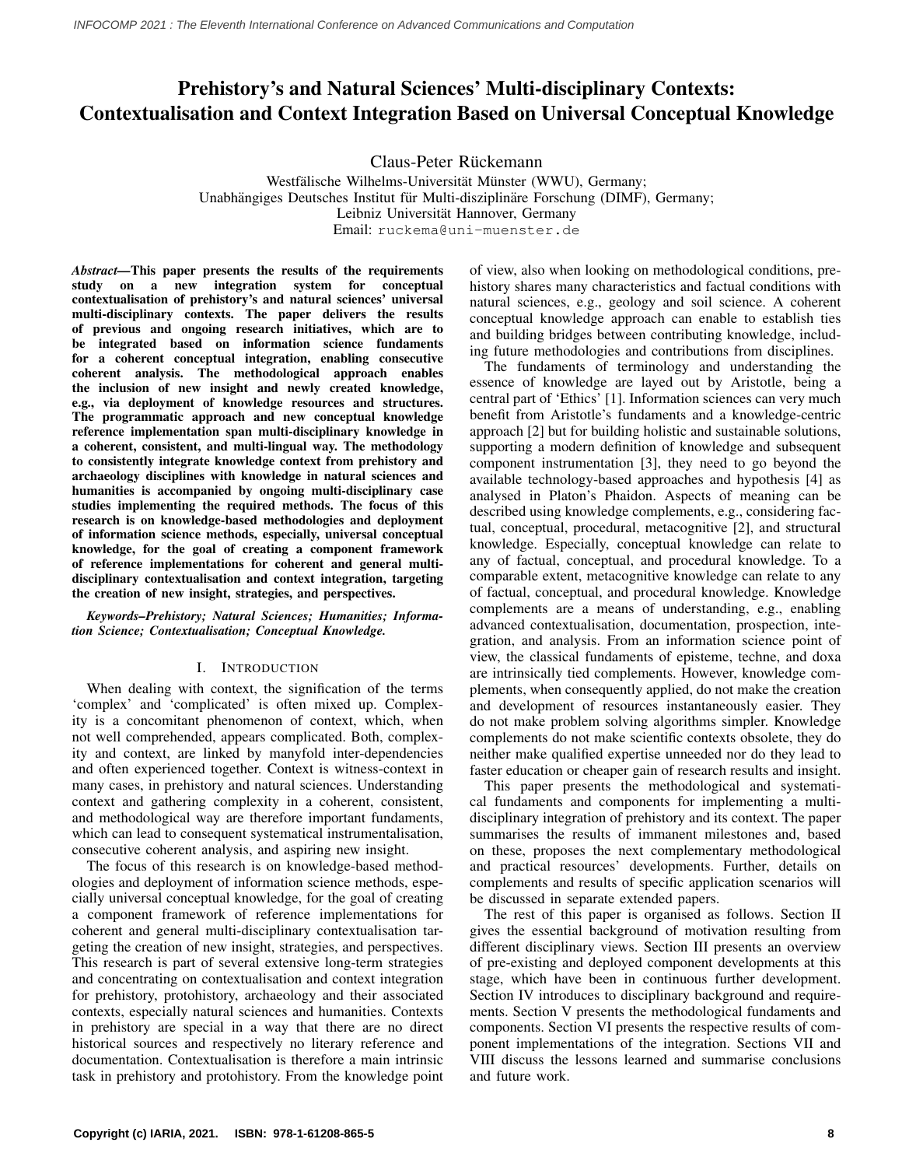# Prehistory's and Natural Sciences' Multi-disciplinary Contexts: Contextualisation and Context Integration Based on Universal Conceptual Knowledge

Claus-Peter Rückemann

Westfälische Wilhelms-Universität Münster (WWU), Germany; Unabhängiges Deutsches Institut für Multi-disziplinäre Forschung (DIMF), Germany; Leibniz Universität Hannover, Germany Email: ruckema@uni-muenster.de

*Abstract—*This paper presents the results of the requirements study on a new integration system for conceptual contextualisation of prehistory's and natural sciences' universal multi-disciplinary contexts. The paper delivers the results of previous and ongoing research initiatives, which are to be integrated based on information science fundaments for a coherent conceptual integration, enabling consecutive coherent analysis. The methodological approach enables the inclusion of new insight and newly created knowledge, e.g., via deployment of knowledge resources and structures. The programmatic approach and new conceptual knowledge reference implementation span multi-disciplinary knowledge in a coherent, consistent, and multi-lingual way. The methodology to consistently integrate knowledge context from prehistory and archaeology disciplines with knowledge in natural sciences and humanities is accompanied by ongoing multi-disciplinary case studies implementing the required methods. The focus of this research is on knowledge-based methodologies and deployment of information science methods, especially, universal conceptual knowledge, for the goal of creating a component framework of reference implementations for coherent and general multidisciplinary contextualisation and context integration, targeting the creation of new insight, strategies, and perspectives.

*Keywords–Prehistory; Natural Sciences; Humanities; Information Science; Contextualisation; Conceptual Knowledge.*

# I. INTRODUCTION

When dealing with context, the signification of the terms 'complex' and 'complicated' is often mixed up. Complexity is a concomitant phenomenon of context, which, when not well comprehended, appears complicated. Both, complexity and context, are linked by manyfold inter-dependencies and often experienced together. Context is witness-context in many cases, in prehistory and natural sciences. Understanding context and gathering complexity in a coherent, consistent, and methodological way are therefore important fundaments, which can lead to consequent systematical instrumentalisation, consecutive coherent analysis, and aspiring new insight.

The focus of this research is on knowledge-based methodologies and deployment of information science methods, especially universal conceptual knowledge, for the goal of creating a component framework of reference implementations for coherent and general multi-disciplinary contextualisation targeting the creation of new insight, strategies, and perspectives. This research is part of several extensive long-term strategies and concentrating on contextualisation and context integration for prehistory, protohistory, archaeology and their associated contexts, especially natural sciences and humanities. Contexts in prehistory are special in a way that there are no direct historical sources and respectively no literary reference and documentation. Contextualisation is therefore a main intrinsic task in prehistory and protohistory. From the knowledge point of view, also when looking on methodological conditions, prehistory shares many characteristics and factual conditions with natural sciences, e.g., geology and soil science. A coherent conceptual knowledge approach can enable to establish ties and building bridges between contributing knowledge, including future methodologies and contributions from disciplines.

The fundaments of terminology and understanding the essence of knowledge are layed out by Aristotle, being a central part of 'Ethics' [\[1\]](#page-5-0). Information sciences can very much benefit from Aristotle's fundaments and a knowledge-centric approach [\[2\]](#page-5-1) but for building holistic and sustainable solutions, supporting a modern definition of knowledge and subsequent component instrumentation [\[3\]](#page-5-2), they need to go beyond the available technology-based approaches and hypothesis [\[4\]](#page-5-3) as analysed in Platon's Phaidon. Aspects of meaning can be described using knowledge complements, e.g., considering factual, conceptual, procedural, metacognitive [\[2\]](#page-5-1), and structural knowledge. Especially, conceptual knowledge can relate to any of factual, conceptual, and procedural knowledge. To a comparable extent, metacognitive knowledge can relate to any of factual, conceptual, and procedural knowledge. Knowledge complements are a means of understanding, e.g., enabling advanced contextualisation, documentation, prospection, integration, and analysis. From an information science point of view, the classical fundaments of episteme, techne, and doxa are intrinsically tied complements. However, knowledge complements, when consequently applied, do not make the creation and development of resources instantaneously easier. They do not make problem solving algorithms simpler. Knowledge complements do not make scientific contexts obsolete, they do neither make qualified expertise unneeded nor do they lead to faster education or cheaper gain of research results and insight.

This paper presents the methodological and systematical fundaments and components for implementing a multidisciplinary integration of prehistory and its context. The paper summarises the results of immanent milestones and, based on these, proposes the next complementary methodological and practical resources' developments. Further, details on complements and results of specific application scenarios will be discussed in separate extended papers.

The rest of this paper is organised as follows. Section II gives the essential background of motivation resulting from different disciplinary views. Section III presents an overview of pre-existing and deployed component developments at this stage, which have been in continuous further development. Section IV introduces to disciplinary background and requirements. Section V presents the methodological fundaments and components. Section VI presents the respective results of component implementations of the integration. Sections VII and VIII discuss the lessons learned and summarise conclusions and future work.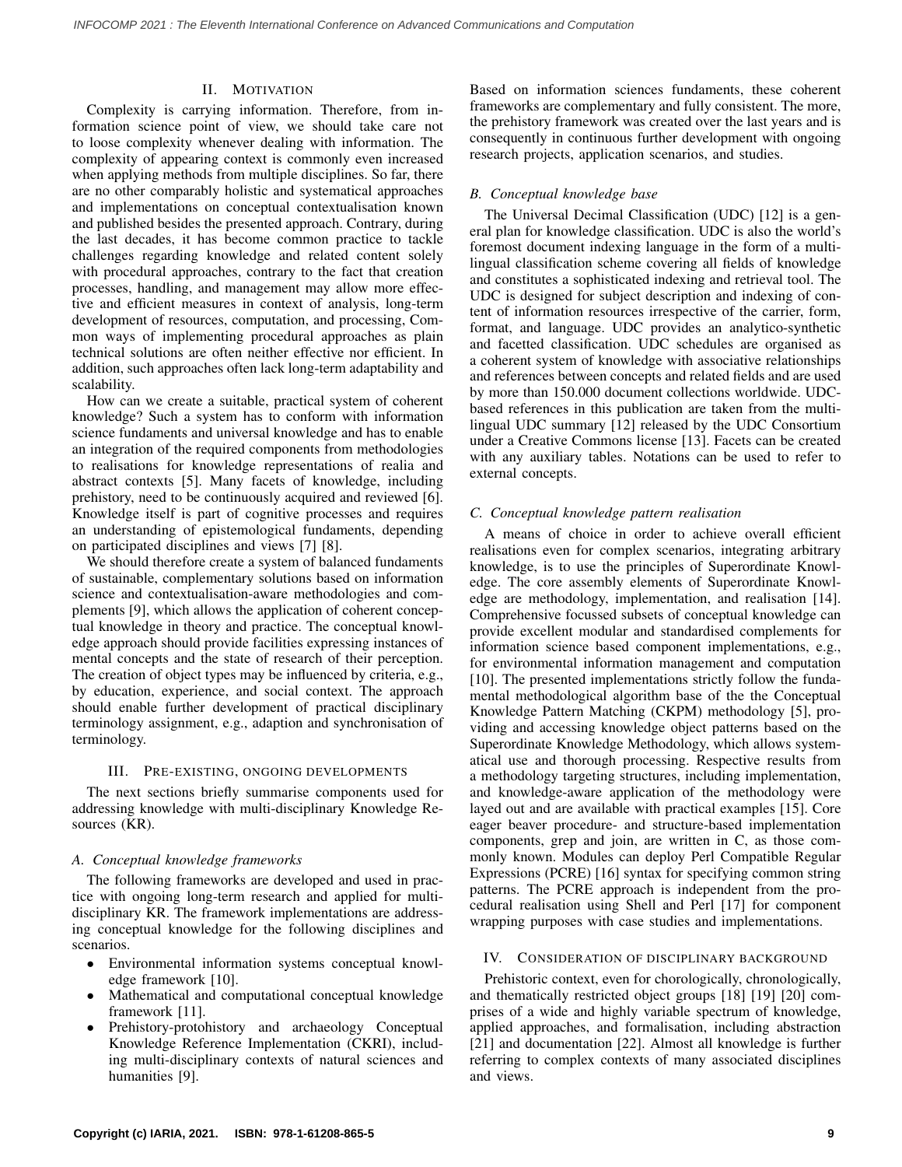# II. MOTIVATION

Complexity is carrying information. Therefore, from information science point of view, we should take care not to loose complexity whenever dealing with information. The complexity of appearing context is commonly even increased when applying methods from multiple disciplines. So far, there are no other comparably holistic and systematical approaches and implementations on conceptual contextualisation known and published besides the presented approach. Contrary, during the last decades, it has become common practice to tackle challenges regarding knowledge and related content solely with procedural approaches, contrary to the fact that creation processes, handling, and management may allow more effective and efficient measures in context of analysis, long-term development of resources, computation, and processing, Common ways of implementing procedural approaches as plain technical solutions are often neither effective nor efficient. In addition, such approaches often lack long-term adaptability and scalability.

How can we create a suitable, practical system of coherent knowledge? Such a system has to conform with information science fundaments and universal knowledge and has to enable an integration of the required components from methodologies to realisations for knowledge representations of realia and abstract contexts [\[5\]](#page-5-4). Many facets of knowledge, including prehistory, need to be continuously acquired and reviewed [\[6\]](#page-5-5). Knowledge itself is part of cognitive processes and requires an understanding of epistemological fundaments, depending on participated disciplines and views [\[7\]](#page-6-0) [\[8\]](#page-6-1).

We should therefore create a system of balanced fundaments of sustainable, complementary solutions based on information science and contextualisation-aware methodologies and complements [\[9\]](#page-6-2), which allows the application of coherent conceptual knowledge in theory and practice. The conceptual knowledge approach should provide facilities expressing instances of mental concepts and the state of research of their perception. The creation of object types may be influenced by criteria, e.g., by education, experience, and social context. The approach should enable further development of practical disciplinary terminology assignment, e.g., adaption and synchronisation of terminology.

### III. PRE-EXISTING, ONGOING DEVELOPMENTS

The next sections briefly summarise components used for addressing knowledge with multi-disciplinary Knowledge Resources (KR).

## *A. Conceptual knowledge frameworks*

The following frameworks are developed and used in practice with ongoing long-term research and applied for multidisciplinary KR. The framework implementations are addressing conceptual knowledge for the following disciplines and scenarios.

- Environmental information systems conceptual knowledge framework [\[10\]](#page-6-3).
- Mathematical and computational conceptual knowledge framework [\[11\]](#page-6-4).
- Prehistory-protohistory and archaeology Conceptual Knowledge Reference Implementation (CKRI), including multi-disciplinary contexts of natural sciences and humanities [\[9\]](#page-6-2).

Based on information sciences fundaments, these coherent frameworks are complementary and fully consistent. The more, the prehistory framework was created over the last years and is consequently in continuous further development with ongoing research projects, application scenarios, and studies.

## *B. Conceptual knowledge base*

The Universal Decimal Classification (UDC) [\[12\]](#page-6-5) is a general plan for knowledge classification. UDC is also the world's foremost document indexing language in the form of a multilingual classification scheme covering all fields of knowledge and constitutes a sophisticated indexing and retrieval tool. The UDC is designed for subject description and indexing of content of information resources irrespective of the carrier, form, format, and language. UDC provides an analytico-synthetic and facetted classification. UDC schedules are organised as a coherent system of knowledge with associative relationships and references between concepts and related fields and are used by more than 150.000 document collections worldwide. UDCbased references in this publication are taken from the multilingual UDC summary [\[12\]](#page-6-5) released by the UDC Consortium under a Creative Commons license [\[13\]](#page-6-6). Facets can be created with any auxiliary tables. Notations can be used to refer to external concepts.

### *C. Conceptual knowledge pattern realisation*

A means of choice in order to achieve overall efficient realisations even for complex scenarios, integrating arbitrary knowledge, is to use the principles of Superordinate Knowledge. The core assembly elements of Superordinate Knowledge are methodology, implementation, and realisation [\[14\]](#page-6-7). Comprehensive focussed subsets of conceptual knowledge can provide excellent modular and standardised complements for information science based component implementations, e.g., for environmental information management and computation [\[10\]](#page-6-3). The presented implementations strictly follow the fundamental methodological algorithm base of the the Conceptual Knowledge Pattern Matching (CKPM) methodology [\[5\]](#page-5-4), providing and accessing knowledge object patterns based on the Superordinate Knowledge Methodology, which allows systematical use and thorough processing. Respective results from a methodology targeting structures, including implementation, and knowledge-aware application of the methodology were layed out and are available with practical examples [\[15\]](#page-6-8). Core eager beaver procedure- and structure-based implementation components, grep and join, are written in C, as those commonly known. Modules can deploy Perl Compatible Regular Expressions (PCRE) [\[16\]](#page-6-9) syntax for specifying common string patterns. The PCRE approach is independent from the procedural realisation using Shell and Perl [\[17\]](#page-6-10) for component wrapping purposes with case studies and implementations.

# IV. CONSIDERATION OF DISCIPLINARY BACKGROUND

Prehistoric context, even for chorologically, chronologically, and thematically restricted object groups [\[18\]](#page-6-11) [\[19\]](#page-6-12) [\[20\]](#page-6-13) comprises of a wide and highly variable spectrum of knowledge, applied approaches, and formalisation, including abstraction [\[21\]](#page-6-14) and documentation [\[22\]](#page-6-15). Almost all knowledge is further referring to complex contexts of many associated disciplines and views.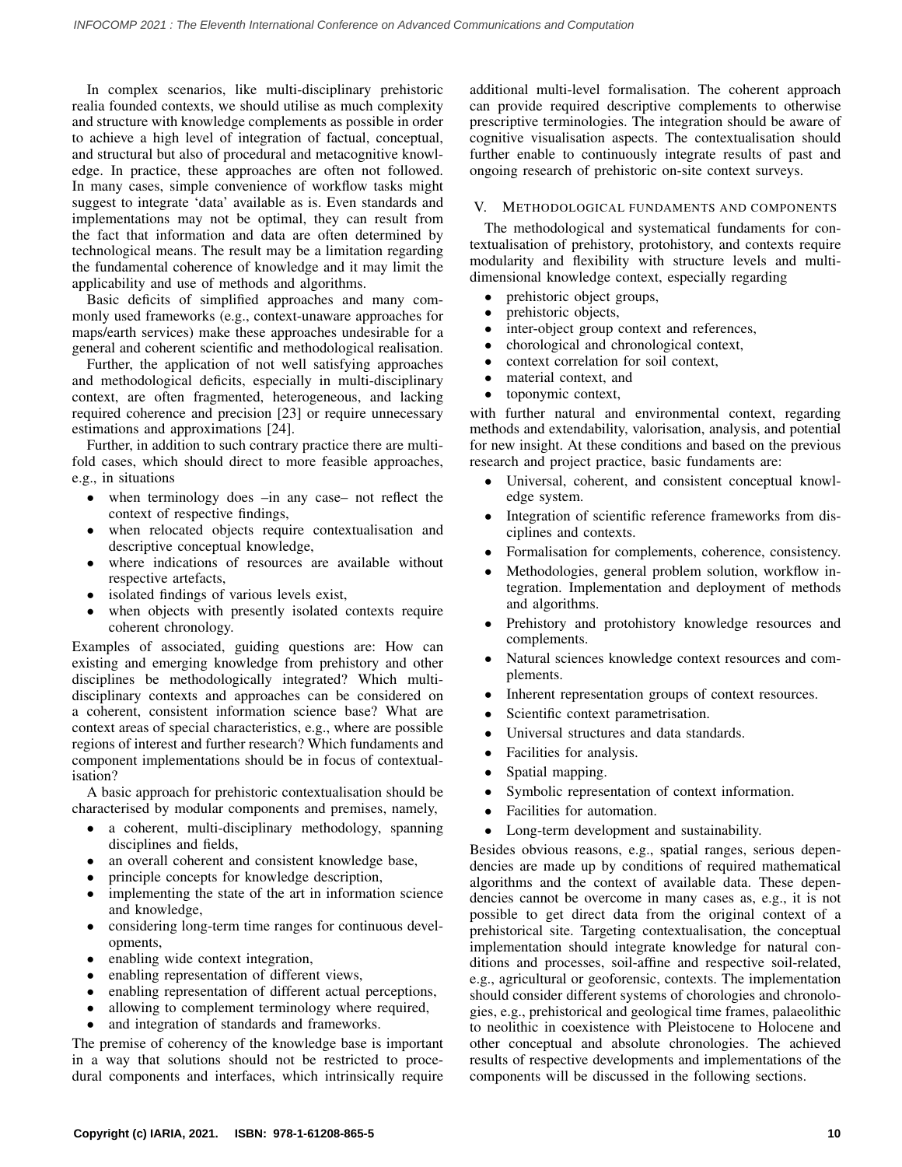In complex scenarios, like multi-disciplinary prehistoric realia founded contexts, we should utilise as much complexity and structure with knowledge complements as possible in order to achieve a high level of integration of factual, conceptual, and structural but also of procedural and metacognitive knowledge. In practice, these approaches are often not followed. In many cases, simple convenience of workflow tasks might suggest to integrate 'data' available as is. Even standards and implementations may not be optimal, they can result from the fact that information and data are often determined by technological means. The result may be a limitation regarding the fundamental coherence of knowledge and it may limit the applicability and use of methods and algorithms.

Basic deficits of simplified approaches and many commonly used frameworks (e.g., context-unaware approaches for maps/earth services) make these approaches undesirable for a general and coherent scientific and methodological realisation.

Further, the application of not well satisfying approaches and methodological deficits, especially in multi-disciplinary context, are often fragmented, heterogeneous, and lacking required coherence and precision [\[23\]](#page-6-16) or require unnecessary estimations and approximations [\[24\]](#page-6-17).

Further, in addition to such contrary practice there are multifold cases, which should direct to more feasible approaches, e.g., in situations

- when terminology does –in any case– not reflect the context of respective findings,
- when relocated objects require contextualisation and descriptive conceptual knowledge,
- where indications of resources are available without respective artefacts,
- isolated findings of various levels exist,
- when objects with presently isolated contexts require coherent chronology.

Examples of associated, guiding questions are: How can existing and emerging knowledge from prehistory and other disciplines be methodologically integrated? Which multidisciplinary contexts and approaches can be considered on a coherent, consistent information science base? What are context areas of special characteristics, e.g., where are possible regions of interest and further research? Which fundaments and component implementations should be in focus of contextualisation?

A basic approach for prehistoric contextualisation should be characterised by modular components and premises, namely,

- a coherent, multi-disciplinary methodology, spanning disciplines and fields,
- an overall coherent and consistent knowledge base,
- principle concepts for knowledge description,
- implementing the state of the art in information science and knowledge,
- considering long-term time ranges for continuous developments,
- enabling wide context integration,
- enabling representation of different views,
- enabling representation of different actual perceptions,
- allowing to complement terminology where required,
- and integration of standards and frameworks.

The premise of coherency of the knowledge base is important in a way that solutions should not be restricted to procedural components and interfaces, which intrinsically require additional multi-level formalisation. The coherent approach can provide required descriptive complements to otherwise prescriptive terminologies. The integration should be aware of cognitive visualisation aspects. The contextualisation should further enable to continuously integrate results of past and ongoing research of prehistoric on-site context surveys.

# V. METHODOLOGICAL FUNDAMENTS AND COMPONENTS

The methodological and systematical fundaments for contextualisation of prehistory, protohistory, and contexts require modularity and flexibility with structure levels and multidimensional knowledge context, especially regarding

- prehistoric object groups,
- prehistoric objects,
- inter-object group context and references,
- chorological and chronological context,
- context correlation for soil context,
- material context, and
- toponymic context,

with further natural and environmental context, regarding methods and extendability, valorisation, analysis, and potential for new insight. At these conditions and based on the previous research and project practice, basic fundaments are:

- Universal, coherent, and consistent conceptual knowledge system.
- Integration of scientific reference frameworks from disciplines and contexts.
- Formalisation for complements, coherence, consistency.
- Methodologies, general problem solution, workflow integration. Implementation and deployment of methods and algorithms.
- Prehistory and protohistory knowledge resources and complements.
- Natural sciences knowledge context resources and complements.
- Inherent representation groups of context resources.
- Scientific context parametrisation.
- Universal structures and data standards.
- Facilities for analysis.
- Spatial mapping.
- Symbolic representation of context information.
- Facilities for automation.
- Long-term development and sustainability.

Besides obvious reasons, e.g., spatial ranges, serious dependencies are made up by conditions of required mathematical algorithms and the context of available data. These dependencies cannot be overcome in many cases as, e.g., it is not possible to get direct data from the original context of a prehistorical site. Targeting contextualisation, the conceptual implementation should integrate knowledge for natural conditions and processes, soil-affine and respective soil-related, e.g., agricultural or geoforensic, contexts. The implementation should consider different systems of chorologies and chronologies, e.g., prehistorical and geological time frames, palaeolithic to neolithic in coexistence with Pleistocene to Holocene and other conceptual and absolute chronologies. The achieved results of respective developments and implementations of the components will be discussed in the following sections.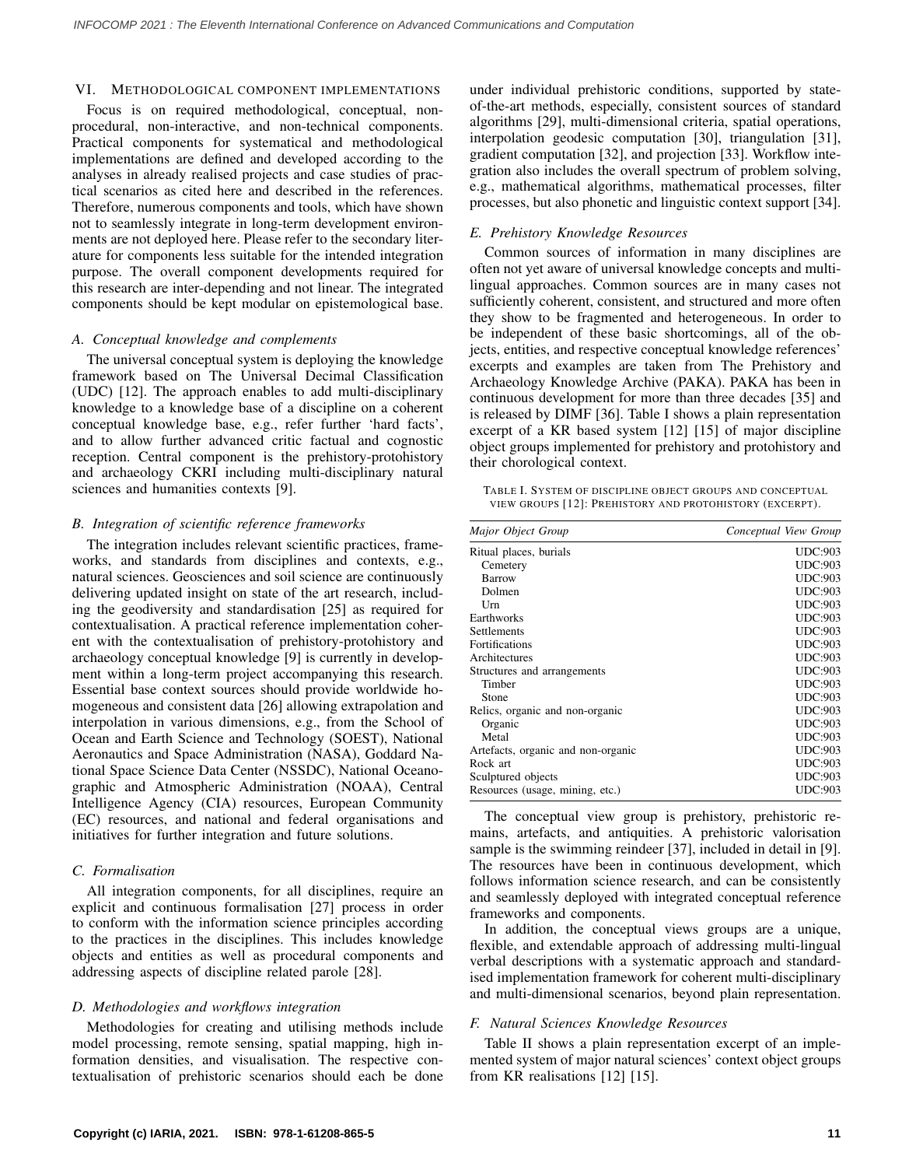### VI. METHODOLOGICAL COMPONENT IMPLEMENTATIONS

Focus is on required methodological, conceptual, nonprocedural, non-interactive, and non-technical components. Practical components for systematical and methodological implementations are defined and developed according to the analyses in already realised projects and case studies of practical scenarios as cited here and described in the references. Therefore, numerous components and tools, which have shown not to seamlessly integrate in long-term development environments are not deployed here. Please refer to the secondary literature for components less suitable for the intended integration purpose. The overall component developments required for this research are inter-depending and not linear. The integrated components should be kept modular on epistemological base.

# *A. Conceptual knowledge and complements*

The universal conceptual system is deploying the knowledge framework based on The Universal Decimal Classification (UDC) [\[12\]](#page-6-5). The approach enables to add multi-disciplinary knowledge to a knowledge base of a discipline on a coherent conceptual knowledge base, e.g., refer further 'hard facts', and to allow further advanced critic factual and cognostic reception. Central component is the prehistory-protohistory and archaeology CKRI including multi-disciplinary natural sciences and humanities contexts [\[9\]](#page-6-2).

# *B. Integration of scientific reference frameworks*

The integration includes relevant scientific practices, frameworks, and standards from disciplines and contexts, e.g., natural sciences. Geosciences and soil science are continuously delivering updated insight on state of the art research, including the geodiversity and standardisation [\[25\]](#page-6-18) as required for contextualisation. A practical reference implementation coherent with the contextualisation of prehistory-protohistory and archaeology conceptual knowledge [\[9\]](#page-6-2) is currently in development within a long-term project accompanying this research. Essential base context sources should provide worldwide homogeneous and consistent data [\[26\]](#page-6-19) allowing extrapolation and interpolation in various dimensions, e.g., from the School of Ocean and Earth Science and Technology (SOEST), National Aeronautics and Space Administration (NASA), Goddard National Space Science Data Center (NSSDC), National Oceanographic and Atmospheric Administration (NOAA), Central Intelligence Agency (CIA) resources, European Community (EC) resources, and national and federal organisations and initiatives for further integration and future solutions.

## *C. Formalisation*

All integration components, for all disciplines, require an explicit and continuous formalisation [\[27\]](#page-6-20) process in order to conform with the information science principles according to the practices in the disciplines. This includes knowledge objects and entities as well as procedural components and addressing aspects of discipline related parole [\[28\]](#page-6-21).

## *D. Methodologies and workflows integration*

Methodologies for creating and utilising methods include model processing, remote sensing, spatial mapping, high information densities, and visualisation. The respective contextualisation of prehistoric scenarios should each be done under individual prehistoric conditions, supported by stateof-the-art methods, especially, consistent sources of standard algorithms [\[29\]](#page-6-22), multi-dimensional criteria, spatial operations, interpolation geodesic computation [\[30\]](#page-6-23), triangulation [\[31\]](#page-6-24), gradient computation [\[32\]](#page-6-25), and projection [\[33\]](#page-6-26). Workflow integration also includes the overall spectrum of problem solving, e.g., mathematical algorithms, mathematical processes, filter processes, but also phonetic and linguistic context support [\[34\]](#page-6-27).

# *E. Prehistory Knowledge Resources*

Common sources of information in many disciplines are often not yet aware of universal knowledge concepts and multilingual approaches. Common sources are in many cases not sufficiently coherent, consistent, and structured and more often they show to be fragmented and heterogeneous. In order to be independent of these basic shortcomings, all of the objects, entities, and respective conceptual knowledge references' excerpts and examples are taken from The Prehistory and Archaeology Knowledge Archive (PAKA). PAKA has been in continuous development for more than three decades [\[35\]](#page-6-28) and is released by DIMF [\[36\]](#page-6-29). Table [I](#page-3-0) shows a plain representation excerpt of a KR based system [\[12\]](#page-6-5) [\[15\]](#page-6-8) of major discipline object groups implemented for prehistory and protohistory and their chorological context.

<span id="page-3-0"></span>

|  |  | TABLE I. SYSTEM OF DISCIPLINE OBJECT GROUPS AND CONCEPTUAL |  |
|--|--|------------------------------------------------------------|--|
|  |  | VIEW GROUPS [12]: PREHISTORY AND PROTOHISTORY (EXCERPT).   |  |

| Major Object Group                 | Conceptual View Group |
|------------------------------------|-----------------------|
| Ritual places, burials             | <b>UDC:903</b>        |
| Cemetery                           | <b>UDC:903</b>        |
| Barrow                             | <b>UDC:903</b>        |
| Dolmen                             | <b>UDC:903</b>        |
| Urn                                | <b>UDC:903</b>        |
| Earthworks                         | <b>UDC:903</b>        |
| Settlements                        | <b>UDC:903</b>        |
| <b>Fortifications</b>              | <b>UDC:903</b>        |
| Architectures                      | <b>UDC:903</b>        |
| Structures and arrangements        | <b>UDC:903</b>        |
| Timber                             | <b>UDC:903</b>        |
| Stone                              | <b>UDC:903</b>        |
| Relics, organic and non-organic    | <b>UDC:903</b>        |
| Organic                            | <b>UDC:903</b>        |
| Metal                              | <b>UDC:903</b>        |
| Artefacts, organic and non-organic | <b>UDC:903</b>        |
| Rock art                           | <b>UDC:903</b>        |
| Sculptured objects                 | <b>UDC:903</b>        |
| Resources (usage, mining, etc.)    | <b>UDC:903</b>        |

The conceptual view group is prehistory, prehistoric remains, artefacts, and antiquities. A prehistoric valorisation sample is the swimming reindeer [\[37\]](#page-6-30), included in detail in [\[9\]](#page-6-2). The resources have been in continuous development, which follows information science research, and can be consistently and seamlessly deployed with integrated conceptual reference frameworks and components.

In addition, the conceptual views groups are a unique, flexible, and extendable approach of addressing multi-lingual verbal descriptions with a systematic approach and standardised implementation framework for coherent multi-disciplinary and multi-dimensional scenarios, beyond plain representation.

## *F. Natural Sciences Knowledge Resources*

Table [II](#page-4-0) shows a plain representation excerpt of an implemented system of major natural sciences' context object groups from KR realisations [\[12\]](#page-6-5) [\[15\]](#page-6-8).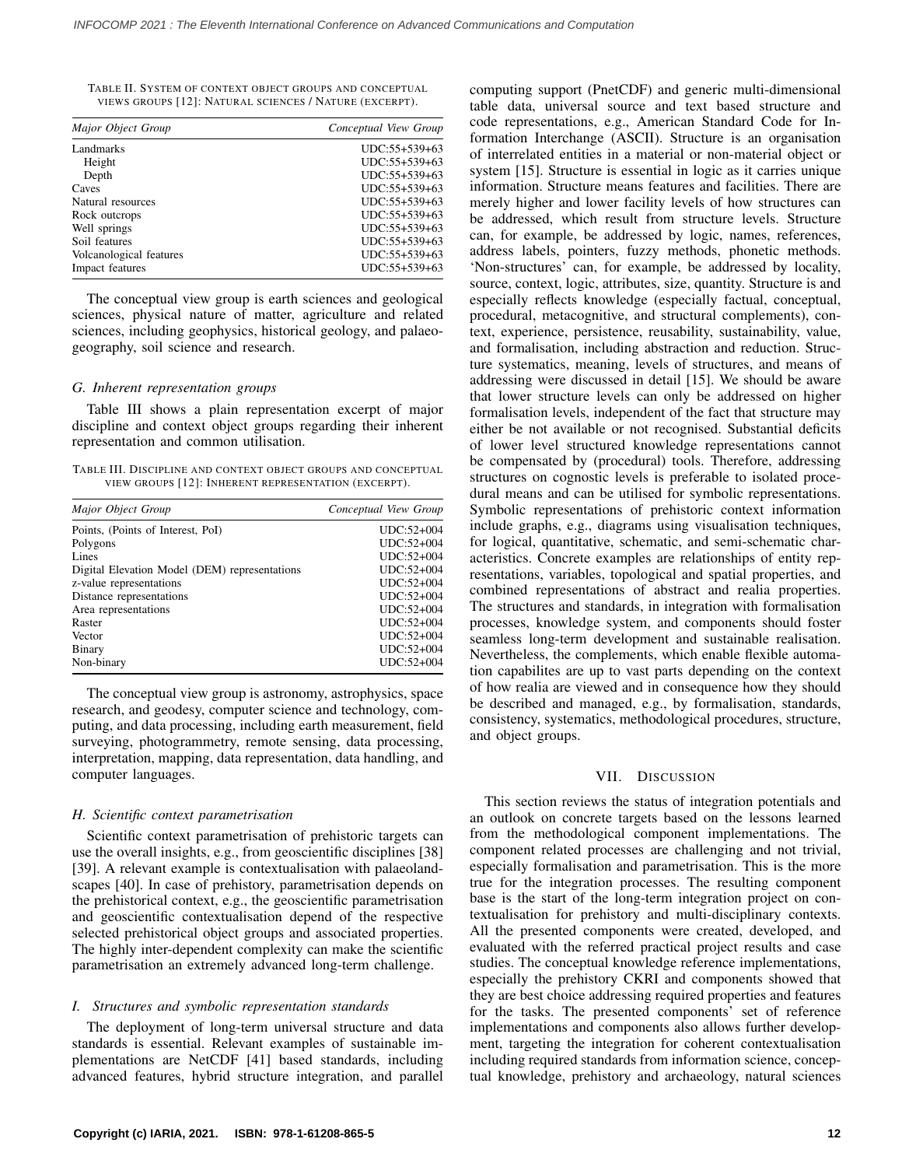<span id="page-4-0"></span>TABLE II. SYSTEM OF CONTEXT OBJECT GROUPS AND CONCEPTUAL VIEWS GROUPS [\[12\]](#page-6-5): NATURAL SCIENCES / NATURE (EXCERPT).

| Major Object Group      | Conceptual View Group |
|-------------------------|-----------------------|
| <b>Landmarks</b>        | UDC:55+539+63         |
| Height                  | UDC:55+539+63         |
| Depth                   | UDC:55+539+63         |
| Caves                   | UDC:55+539+63         |
| Natural resources       | UDC:55+539+63         |
| Rock outcrops           | UDC:55+539+63         |
| Well springs            | UDC:55+539+63         |
| Soil features           | UDC:55+539+63         |
| Volcanological features | UDC:55+539+63         |
| Impact features         | UDC:55+539+63         |

The conceptual view group is earth sciences and geological sciences, physical nature of matter, agriculture and related sciences, including geophysics, historical geology, and palaeogeography, soil science and research.

#### *G. Inherent representation groups*

Table [III](#page-4-1) shows a plain representation excerpt of major discipline and context object groups regarding their inherent representation and common utilisation.

<span id="page-4-1"></span>TABLE III. DISCIPLINE AND CONTEXT OBJECT GROUPS AND CONCEPTUAL VIEW GROUPS [\[12\]](#page-6-5): INHERENT REPRESENTATION (EXCERPT).

| Major Object Group                            | Conceptual View Group |
|-----------------------------------------------|-----------------------|
| Points, (Points of Interest, PoI)             | $UDC:52+004$          |
| Polygons                                      | $UDC:52+004$          |
| Lines                                         | UDC:52+004            |
| Digital Elevation Model (DEM) representations | $UDC:52+004$          |
| z-value representations                       | $UDC:52+004$          |
| Distance representations                      | $UDC:52+004$          |
| Area representations                          | $UDC:52+004$          |
| Raster                                        | $UDC:52+004$          |
| Vector                                        | UDC:52+004            |
| Binary                                        | UDC:52+004            |
| Non-binary                                    | UDC:52+004            |

The conceptual view group is astronomy, astrophysics, space research, and geodesy, computer science and technology, computing, and data processing, including earth measurement, field surveying, photogrammetry, remote sensing, data processing, interpretation, mapping, data representation, data handling, and computer languages.

#### *H. Scientific context parametrisation*

Scientific context parametrisation of prehistoric targets can use the overall insights, e.g., from geoscientific disciplines [\[38\]](#page-6-31) [\[39\]](#page-6-32). A relevant example is contextualisation with palaeolandscapes [\[40\]](#page-6-33). In case of prehistory, parametrisation depends on the prehistorical context, e.g., the geoscientific parametrisation and geoscientific contextualisation depend of the respective selected prehistorical object groups and associated properties. The highly inter-dependent complexity can make the scientific parametrisation an extremely advanced long-term challenge.

#### *I. Structures and symbolic representation standards*

The deployment of long-term universal structure and data standards is essential. Relevant examples of sustainable implementations are NetCDF [\[41\]](#page-6-34) based standards, including advanced features, hybrid structure integration, and parallel computing support (PnetCDF) and generic multi-dimensional table data, universal source and text based structure and code representations, e.g., American Standard Code for Information Interchange (ASCII). Structure is an organisation of interrelated entities in a material or non-material object or system [\[15\]](#page-6-8). Structure is essential in logic as it carries unique information. Structure means features and facilities. There are merely higher and lower facility levels of how structures can be addressed, which result from structure levels. Structure can, for example, be addressed by logic, names, references, address labels, pointers, fuzzy methods, phonetic methods. 'Non-structures' can, for example, be addressed by locality, source, context, logic, attributes, size, quantity. Structure is and especially reflects knowledge (especially factual, conceptual, procedural, metacognitive, and structural complements), context, experience, persistence, reusability, sustainability, value, and formalisation, including abstraction and reduction. Structure systematics, meaning, levels of structures, and means of addressing were discussed in detail [\[15\]](#page-6-8). We should be aware that lower structure levels can only be addressed on higher formalisation levels, independent of the fact that structure may either be not available or not recognised. Substantial deficits of lower level structured knowledge representations cannot be compensated by (procedural) tools. Therefore, addressing structures on cognostic levels is preferable to isolated procedural means and can be utilised for symbolic representations. Symbolic representations of prehistoric context information include graphs, e.g., diagrams using visualisation techniques, for logical, quantitative, schematic, and semi-schematic characteristics. Concrete examples are relationships of entity representations, variables, topological and spatial properties, and combined representations of abstract and realia properties. The structures and standards, in integration with formalisation processes, knowledge system, and components should foster seamless long-term development and sustainable realisation. Nevertheless, the complements, which enable flexible automation capabilites are up to vast parts depending on the context of how realia are viewed and in consequence how they should be described and managed, e.g., by formalisation, standards, consistency, systematics, methodological procedures, structure, and object groups.

#### VII. DISCUSSION

This section reviews the status of integration potentials and an outlook on concrete targets based on the lessons learned from the methodological component implementations. The component related processes are challenging and not trivial, especially formalisation and parametrisation. This is the more true for the integration processes. The resulting component base is the start of the long-term integration project on contextualisation for prehistory and multi-disciplinary contexts. All the presented components were created, developed, and evaluated with the referred practical project results and case studies. The conceptual knowledge reference implementations, especially the prehistory CKRI and components showed that they are best choice addressing required properties and features for the tasks. The presented components' set of reference implementations and components also allows further development, targeting the integration for coherent contextualisation including required standards from information science, conceptual knowledge, prehistory and archaeology, natural sciences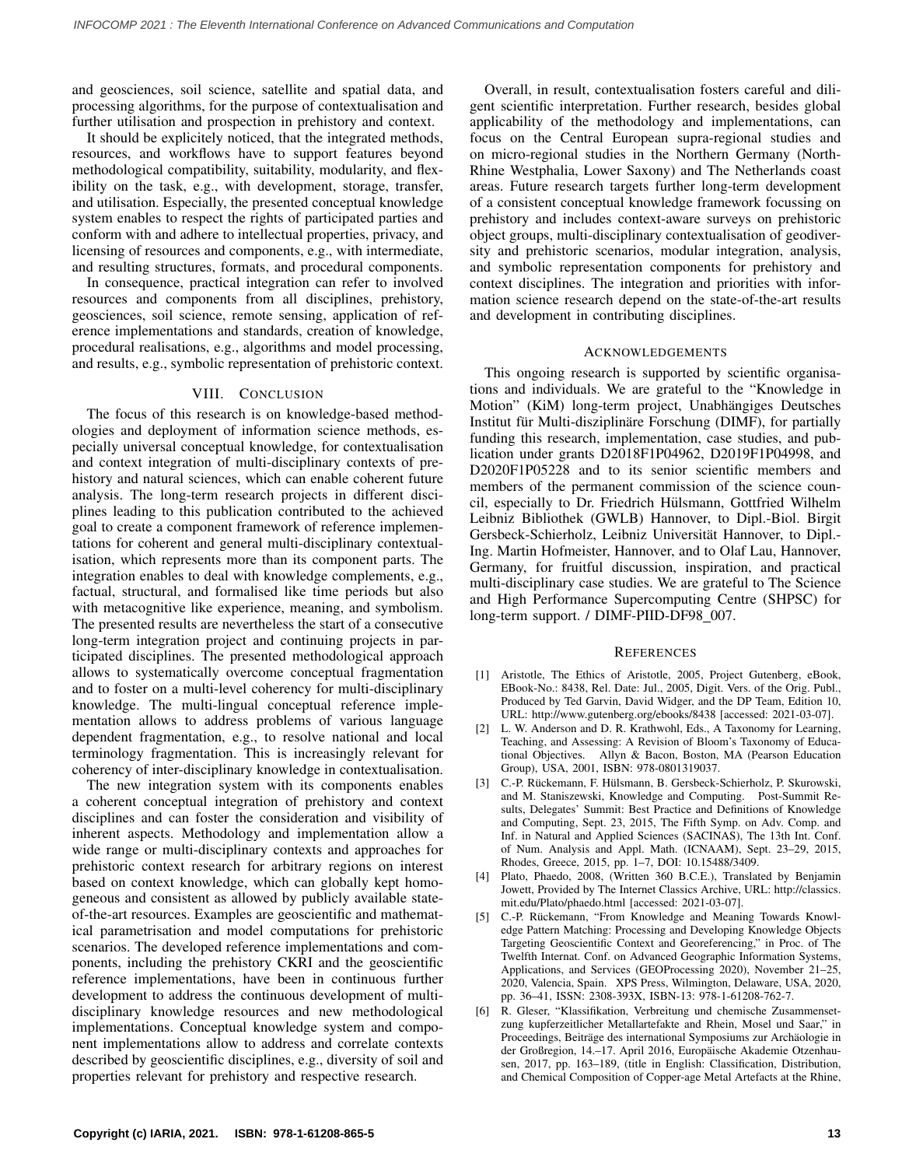and geosciences, soil science, satellite and spatial data, and processing algorithms, for the purpose of contextualisation and further utilisation and prospection in prehistory and context.

It should be explicitely noticed, that the integrated methods, resources, and workflows have to support features beyond methodological compatibility, suitability, modularity, and flexibility on the task, e.g., with development, storage, transfer, and utilisation. Especially, the presented conceptual knowledge system enables to respect the rights of participated parties and conform with and adhere to intellectual properties, privacy, and licensing of resources and components, e.g., with intermediate, and resulting structures, formats, and procedural components.

In consequence, practical integration can refer to involved resources and components from all disciplines, prehistory, geosciences, soil science, remote sensing, application of reference implementations and standards, creation of knowledge, procedural realisations, e.g., algorithms and model processing, and results, e.g., symbolic representation of prehistoric context.

# VIII. CONCLUSION

The focus of this research is on knowledge-based methodologies and deployment of information science methods, especially universal conceptual knowledge, for contextualisation and context integration of multi-disciplinary contexts of prehistory and natural sciences, which can enable coherent future analysis. The long-term research projects in different disciplines leading to this publication contributed to the achieved goal to create a component framework of reference implementations for coherent and general multi-disciplinary contextualisation, which represents more than its component parts. The integration enables to deal with knowledge complements, e.g., factual, structural, and formalised like time periods but also with metacognitive like experience, meaning, and symbolism. The presented results are nevertheless the start of a consecutive long-term integration project and continuing projects in participated disciplines. The presented methodological approach allows to systematically overcome conceptual fragmentation and to foster on a multi-level coherency for multi-disciplinary knowledge. The multi-lingual conceptual reference implementation allows to address problems of various language dependent fragmentation, e.g., to resolve national and local terminology fragmentation. This is increasingly relevant for coherency of inter-disciplinary knowledge in contextualisation.

The new integration system with its components enables a coherent conceptual integration of prehistory and context disciplines and can foster the consideration and visibility of inherent aspects. Methodology and implementation allow a wide range or multi-disciplinary contexts and approaches for prehistoric context research for arbitrary regions on interest based on context knowledge, which can globally kept homogeneous and consistent as allowed by publicly available stateof-the-art resources. Examples are geoscientific and mathematical parametrisation and model computations for prehistoric scenarios. The developed reference implementations and components, including the prehistory CKRI and the geoscientific reference implementations, have been in continuous further development to address the continuous development of multidisciplinary knowledge resources and new methodological implementations. Conceptual knowledge system and component implementations allow to address and correlate contexts described by geoscientific disciplines, e.g., diversity of soil and properties relevant for prehistory and respective research.

Overall, in result, contextualisation fosters careful and diligent scientific interpretation. Further research, besides global applicability of the methodology and implementations, can focus on the Central European supra-regional studies and on micro-regional studies in the Northern Germany (North-Rhine Westphalia, Lower Saxony) and The Netherlands coast areas. Future research targets further long-term development of a consistent conceptual knowledge framework focussing on prehistory and includes context-aware surveys on prehistoric object groups, multi-disciplinary contextualisation of geodiversity and prehistoric scenarios, modular integration, analysis, and symbolic representation components for prehistory and context disciplines. The integration and priorities with information science research depend on the state-of-the-art results and development in contributing disciplines.

#### ACKNOWLEDGEMENTS

This ongoing research is supported by scientific organisations and individuals. We are grateful to the "Knowledge in Motion" (KiM) long-term project, Unabhängiges Deutsches Institut für Multi-disziplinäre Forschung (DIMF), for partially funding this research, implementation, case studies, and publication under grants D2018F1P04962, D2019F1P04998, and D2020F1P05228 and to its senior scientific members and members of the permanent commission of the science council, especially to Dr. Friedrich Hülsmann, Gottfried Wilhelm Leibniz Bibliothek (GWLB) Hannover, to Dipl.-Biol. Birgit Gersbeck-Schierholz, Leibniz Universität Hannover, to Dipl.-Ing. Martin Hofmeister, Hannover, and to Olaf Lau, Hannover, Germany, for fruitful discussion, inspiration, and practical multi-disciplinary case studies. We are grateful to The Science and High Performance Supercomputing Centre (SHPSC) for long-term support. / DIMF-PIID-DF98\_007.

#### **REFERENCES**

- <span id="page-5-0"></span>[1] Aristotle, The Ethics of Aristotle, 2005, Project Gutenberg, eBook, EBook-No.: 8438, Rel. Date: Jul., 2005, Digit. Vers. of the Orig. Publ., Produced by Ted Garvin, David Widger, and the DP Team, Edition 10, URL:<http://www.gutenberg.org/ebooks/8438> [accessed: 2021-03-07].
- <span id="page-5-1"></span>[2] L. W. Anderson and D. R. Krathwohl, Eds., A Taxonomy for Learning, Teaching, and Assessing: A Revision of Bloom's Taxonomy of Educational Objectives. Allyn & Bacon, Boston, MA (Pearson Education Group), USA, 2001, ISBN: 978-0801319037.
- <span id="page-5-2"></span>[3] C.-P. Rückemann, F. Hülsmann, B. Gersbeck-Schierholz, P. Skurowski, and M. Staniszewski, Knowledge and Computing. Post-Summit Results, Delegates' Summit: Best Practice and Definitions of Knowledge and Computing, Sept. 23, 2015, The Fifth Symp. on Adv. Comp. and Inf. in Natural and Applied Sciences (SACINAS), The 13th Int. Conf. of Num. Analysis and Appl. Math. (ICNAAM), Sept. 23–29, 2015, Rhodes, Greece, 2015, pp. 1–7, DOI: 10.15488/3409.
- <span id="page-5-3"></span>[4] Plato, Phaedo, 2008, (Written 360 B.C.E.), Translated by Benjamin Jowett, Provided by The Internet Classics Archive, URL: [http://classics.](http://classics.mit.edu/Plato/phaedo.html) [mit.edu/Plato/phaedo.html](http://classics.mit.edu/Plato/phaedo.html) [accessed: 2021-03-07].
- <span id="page-5-4"></span>[5] C.-P. Rückemann, "From Knowledge and Meaning Towards Knowledge Pattern Matching: Processing and Developing Knowledge Objects Targeting Geoscientific Context and Georeferencing," in Proc. of The Twelfth Internat. Conf. on Advanced Geographic Information Systems, Applications, and Services (GEOProcessing 2020), November 21–25, 2020, Valencia, Spain. XPS Press, Wilmington, Delaware, USA, 2020, pp. 36–41, ISSN: 2308-393X, ISBN-13: 978-1-61208-762-7.
- <span id="page-5-5"></span>[6] R. Gleser, "Klassifikation, Verbreitung und chemische Zusammensetzung kupferzeitlicher Metallartefakte and Rhein, Mosel und Saar," in Proceedings, Beiträge des international Symposiums zur Archäologie in der Großregion, 14.–17. April 2016, Europäische Akademie Otzenhausen, 2017, pp. 163–189, (title in English: Classification, Distribution, and Chemical Composition of Copper-age Metal Artefacts at the Rhine,